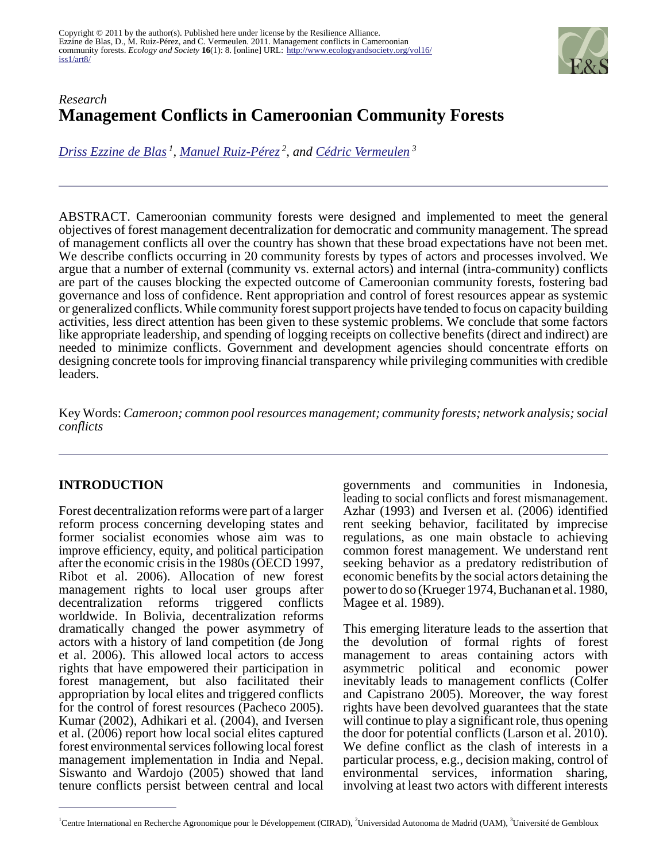

# *Research* **Management Conflicts in Cameroonian Community Forests**

*[Driss Ezzine de Blas](mailto:drissezzine@gmail.com)<sup>1</sup> , [Manuel Ruiz-Pérez](mailto:manuel.ruiz@uam.es)<sup>2</sup>, and [Cédric Vermeulen](mailto:cvermeulen@ulg.ac.be)<sup>3</sup>*

ABSTRACT. Cameroonian community forests were designed and implemented to meet the general objectives of forest management decentralization for democratic and community management. The spread of management conflicts all over the country has shown that these broad expectations have not been met. We describe conflicts occurring in 20 community forests by types of actors and processes involved. We argue that a number of external (community vs. external actors) and internal (intra-community) conflicts are part of the causes blocking the expected outcome of Cameroonian community forests, fostering bad governance and loss of confidence. Rent appropriation and control of forest resources appear as systemic or generalized conflicts. While community forest support projects have tended to focus on capacity building activities, less direct attention has been given to these systemic problems. We conclude that some factors like appropriate leadership, and spending of logging receipts on collective benefits (direct and indirect) are needed to minimize conflicts. Government and development agencies should concentrate efforts on designing concrete tools for improving financial transparency while privileging communities with credible leaders.

Key Words: *Cameroon; common pool resources management; community forests; network analysis; social conflicts*

## **INTRODUCTION**

Forest decentralization reforms were part of a larger reform process concerning developing states and former socialist economies whose aim was to improve efficiency, equity, and political participation after the economic crisis in the 1980s (OECD 1997, Ribot et al. 2006). Allocation of new forest management rights to local user groups after decentralization reforms triggered conflicts worldwide. In Bolivia, decentralization reforms dramatically changed the power asymmetry of actors with a history of land competition (de Jong et al. 2006). This allowed local actors to access rights that have empowered their participation in forest management, but also facilitated their appropriation by local elites and triggered conflicts for the control of forest resources (Pacheco 2005). Kumar (2002), Adhikari et al. (2004), and Iversen et al. (2006) report how local social elites captured forest environmental services following local forest management implementation in India and Nepal. Siswanto and Wardojo (2005) showed that land tenure conflicts persist between central and local

governments and communities in Indonesia, leading to social conflicts and forest mismanagement. Azhar (1993) and Iversen et al. (2006) identified rent seeking behavior, facilitated by imprecise regulations, as one main obstacle to achieving common forest management. We understand rent seeking behavior as a predatory redistribution of economic benefits by the social actors detaining the power to do so (Krueger 1974, Buchanan et al. 1980, Magee et al. 1989).

This emerging literature leads to the assertion that the devolution of formal rights of forest management to areas containing actors with asymmetric political and economic power inevitably leads to management conflicts (Colfer and Capistrano 2005). Moreover, the way forest rights have been devolved guarantees that the state will continue to play a significant role, thus opening the door for potential conflicts (Larson et al. 2010). We define conflict as the clash of interests in a particular process, e.g., decision making, control of environmental services, information sharing, involving at least two actors with different interests

<sup>&</sup>lt;sup>1</sup>Centre International en Recherche Agronomique pour le Développement (CIRAD), <sup>2</sup>Universidad Autonoma de Madrid (UAM), <sup>3</sup>Université de Gembloux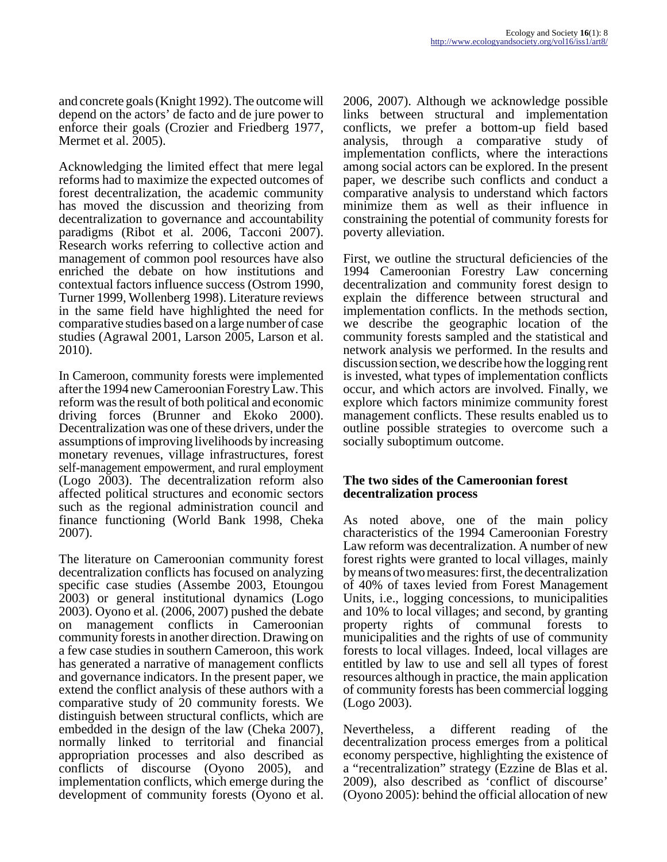and concrete goals (Knight 1992). The outcome will depend on the actors' de facto and de jure power to enforce their goals (Crozier and Friedberg 1977, Mermet et al. 2005).

Acknowledging the limited effect that mere legal reforms had to maximize the expected outcomes of forest decentralization, the academic community has moved the discussion and theorizing from decentralization to governance and accountability paradigms (Ribot et al. 2006, Tacconi 2007). Research works referring to collective action and management of common pool resources have also enriched the debate on how institutions and contextual factors influence success (Ostrom 1990, Turner 1999, Wollenberg 1998). Literature reviews in the same field have highlighted the need for comparative studies based on a large number of case studies (Agrawal 2001, Larson 2005, Larson et al. 2010).

In Cameroon, community forests were implemented after the 1994 new Cameroonian Forestry Law. This reform was the result of both political and economic driving forces (Brunner and Ekoko 2000). Decentralization was one of these drivers, under the assumptions of improving livelihoods by increasing monetary revenues, village infrastructures, forest self-management empowerment, and rural employment (Logo 2003). The decentralization reform also affected political structures and economic sectors such as the regional administration council and finance functioning (World Bank 1998, Cheka 2007).

The literature on Cameroonian community forest decentralization conflicts has focused on analyzing specific case studies (Assembe 2003, Etoungou 2003) or general institutional dynamics (Logo 2003). Oyono et al. (2006, 2007) pushed the debate on management conflicts in Cameroonian community forests in another direction. Drawing on a few case studies in southern Cameroon, this work has generated a narrative of management conflicts and governance indicators. In the present paper, we extend the conflict analysis of these authors with a comparative study of 20 community forests. We distinguish between structural conflicts, which are embedded in the design of the law (Cheka 2007), normally linked to territorial and financial appropriation processes and also described as conflicts of discourse (Oyono 2005), and implementation conflicts, which emerge during the development of community forests (Oyono et al.

2006, 2007). Although we acknowledge possible links between structural and implementation conflicts, we prefer a bottom-up field based analysis, through a comparative study of implementation conflicts, where the interactions among social actors can be explored. In the present paper, we describe such conflicts and conduct a comparative analysis to understand which factors minimize them as well as their influence in constraining the potential of community forests for poverty alleviation.

First, we outline the structural deficiencies of the 1994 Cameroonian Forestry Law concerning decentralization and community forest design to explain the difference between structural and implementation conflicts. In the methods section, we describe the geographic location of the community forests sampled and the statistical and network analysis we performed. In the results and discussion section, we describe how the logging rent is invested, what types of implementation conflicts occur, and which actors are involved. Finally, we explore which factors minimize community forest management conflicts. These results enabled us to outline possible strategies to overcome such a socially suboptimum outcome.

#### **The two sides of the Cameroonian forest decentralization process**

As noted above, one of the main policy characteristics of the 1994 Cameroonian Forestry Law reform was decentralization. A number of new forest rights were granted to local villages, mainly by means of two measures: first, the decentralization of 40% of taxes levied from Forest Management Units, i.e., logging concessions, to municipalities and 10% to local villages; and second, by granting property rights of communal forests to municipalities and the rights of use of community forests to local villages. Indeed, local villages are entitled by law to use and sell all types of forest resources although in practice, the main application of community forests has been commercial logging (Logo 2003).

Nevertheless, a different reading of the decentralization process emerges from a political economy perspective, highlighting the existence of a "recentralization" strategy (Ezzine de Blas et al. 2009), also described as 'conflict of discourse' (Oyono 2005): behind the official allocation of new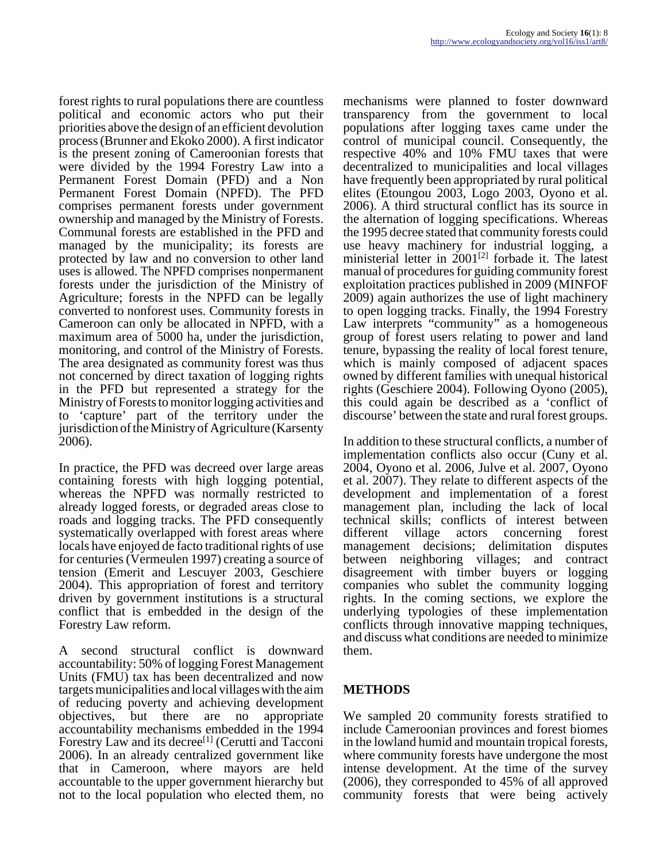forest rights to rural populations there are countless political and economic actors who put their priorities above the design of an efficient devolution process (Brunner and Ekoko 2000). A first indicator is the present zoning of Cameroonian forests that were divided by the 1994 Forestry Law into a Permanent Forest Domain (PFD) and a Non Permanent Forest Domain (NPFD). The PFD comprises permanent forests under government ownership and managed by the Ministry of Forests. Communal forests are established in the PFD and managed by the municipality; its forests are protected by law and no conversion to other land uses is allowed. The NPFD comprises nonpermanent forests under the jurisdiction of the Ministry of Agriculture; forests in the NPFD can be legally converted to nonforest uses. Community forests in Cameroon can only be allocated in NPFD, with a maximum area of 5000 ha, under the jurisdiction, monitoring, and control of the Ministry of Forests. The area designated as community forest was thus not concerned by direct taxation of logging rights in the PFD but represented a strategy for the Ministry of Forests to monitor logging activities and to 'capture' part of the territory under the jurisdiction of the Ministry of Agriculture (Karsenty 2006).

In practice, the PFD was decreed over large areas containing forests with high logging potential, whereas the NPFD was normally restricted to already logged forests, or degraded areas close to roads and logging tracks. The PFD consequently systematically overlapped with forest areas where locals have enjoyed de facto traditional rights of use for centuries (Vermeulen 1997) creating a source of tension (Emerit and Lescuyer 2003, Geschiere 2004). This appropriation of forest and territory driven by government institutions is a structural conflict that is embedded in the design of the Forestry Law reform.

A second structural conflict is downward accountability: 50% of logging Forest Management Units (FMU) tax has been decentralized and now targets municipalities and local villages with the aim of reducing poverty and achieving development objectives, but there are no appropriate accountability mechanisms embedded in the 1994 Forestry Law and its decree<sup>[1]</sup> (Cerutti and Tacconi 2006). In an already centralized government like that in Cameroon, where mayors are held accountable to the upper government hierarchy but not to the local population who elected them, no

mechanisms were planned to foster downward transparency from the government to local populations after logging taxes came under the control of municipal council. Consequently, the respective 40% and 10% FMU taxes that were decentralized to municipalities and local villages have frequently been appropriated by rural political elites (Etoungou 2003, Logo 2003, Oyono et al. 2006). A third structural conflict has its source in the alternation of logging specifications. Whereas the 1995 decree stated that community forests could use heavy machinery for industrial logging, a ministerial letter in  $2001^{[2]}$  forbade it. The latest manual of procedures for guiding community forest exploitation practices published in 2009 (MINFOF 2009) again authorizes the use of light machinery to open logging tracks. Finally, the 1994 Forestry Law interprets "community" as a homogeneous group of forest users relating to power and land tenure, bypassing the reality of local forest tenure, which is mainly composed of adjacent spaces owned by different families with unequal historical rights (Geschiere 2004). Following Oyono (2005), this could again be described as a 'conflict of discourse' between the state and rural forest groups.

In addition to these structural conflicts, a number of implementation conflicts also occur (Cuny et al. 2004, Oyono et al. 2006, Julve et al. 2007, Oyono et al. 2007). They relate to different aspects of the development and implementation of a forest management plan, including the lack of local technical skills; conflicts of interest between different village actors concerning forest management decisions; delimitation disputes between neighboring villages; and contract disagreement with timber buyers or logging companies who sublet the community logging rights. In the coming sections, we explore the underlying typologies of these implementation conflicts through innovative mapping techniques, and discuss what conditions are needed to minimize them.

# **METHODS**

We sampled 20 community forests stratified to include Cameroonian provinces and forest biomes in the lowland humid and mountain tropical forests, where community forests have undergone the most intense development. At the time of the survey (2006), they corresponded to 45% of all approved community forests that were being actively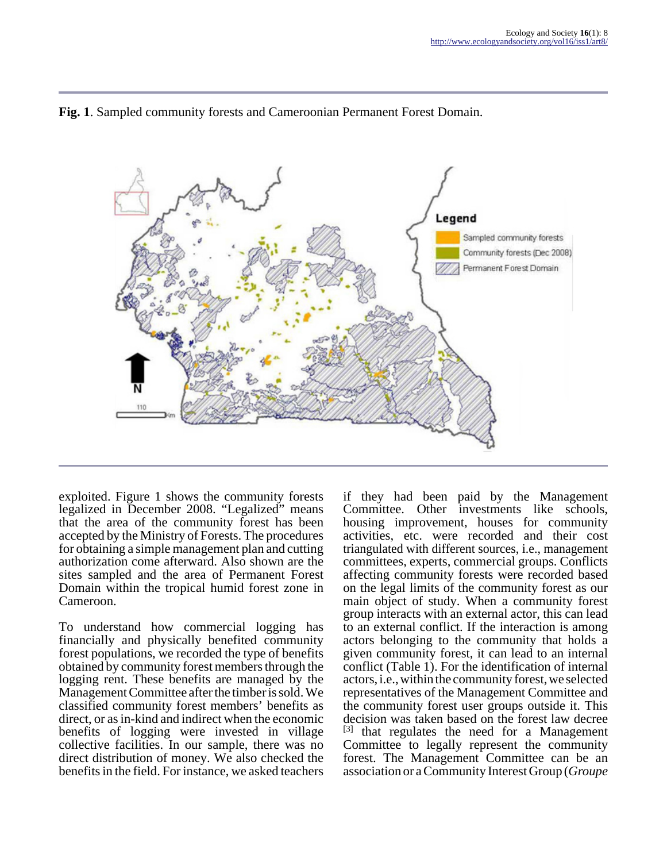

#### **Fig. 1**. Sampled community forests and Cameroonian Permanent Forest Domain.

exploited. Figure 1 shows the community forests legalized in December 2008. "Legalized" means that the area of the community forest has been accepted by the Ministry of Forests. The procedures for obtaining a simple management plan and cutting authorization come afterward. Also shown are the sites sampled and the area of Permanent Forest Domain within the tropical humid forest zone in Cameroon.

To understand how commercial logging has financially and physically benefited community forest populations, we recorded the type of benefits obtained by community forest members through the logging rent. These benefits are managed by the Management Committee after the timber is sold. We classified community forest members' benefits as direct, or as in-kind and indirect when the economic benefits of logging were invested in village collective facilities. In our sample, there was no direct distribution of money. We also checked the benefits in the field. For instance, we asked teachers

if they had been paid by the Management Committee. Other investments like schools, housing improvement, houses for community activities, etc. were recorded and their cost triangulated with different sources, i.e., management committees, experts, commercial groups. Conflicts affecting community forests were recorded based on the legal limits of the community forest as our main object of study. When a community forest group interacts with an external actor, this can lead to an external conflict. If the interaction is among actors belonging to the community that holds a given community forest, it can lead to an internal conflict (Table 1). For the identification of internal actors, i.e., within the community forest, we selected representatives of the Management Committee and the community forest user groups outside it. This decision was taken based on the forest law decree  $\begin{bmatrix} 3 \end{bmatrix}$  that regulates the need for a Management [3] that regulates the need for a Management Committee to legally represent the community forest. The Management Committee can be an association or a Community Interest Group (*Groupe*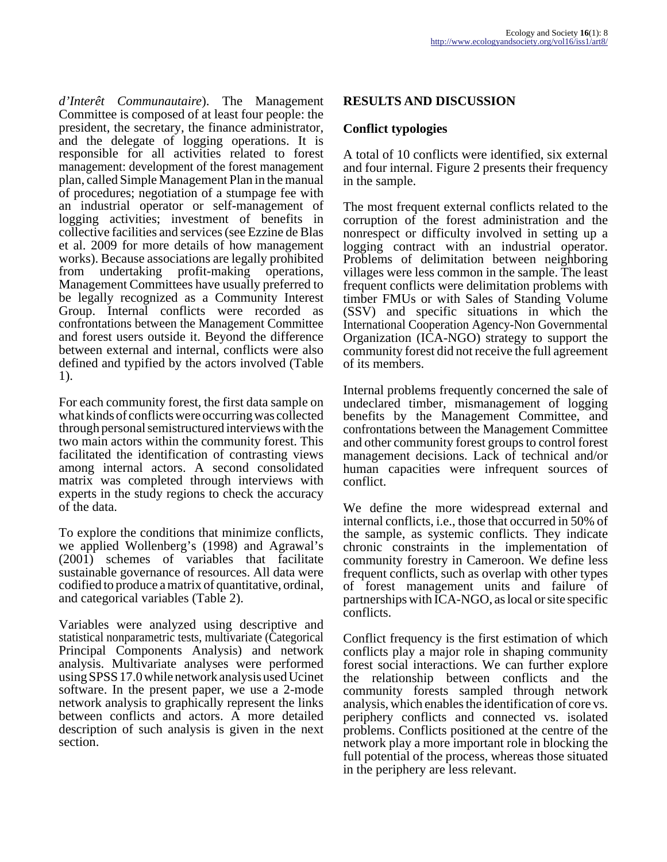*d'Interêt Communautaire*). The Management Committee is composed of at least four people: the president, the secretary, the finance administrator, and the delegate of logging operations. It is responsible for all activities related to forest management: development of the forest management plan, called Simple Management Plan in the manual of procedures; negotiation of a stumpage fee with an industrial operator or self-management of logging activities; investment of benefits in collective facilities and services (see Ezzine de Blas et al. 2009 for more details of how management works). Because associations are legally prohibited from undertaking profit-making operations, Management Committees have usually preferred to be legally recognized as a Community Interest Group. Internal conflicts were recorded as confrontations between the Management Committee and forest users outside it. Beyond the difference between external and internal, conflicts were also defined and typified by the actors involved (Table 1).

For each community forest, the first data sample on what kinds of conflicts were occurring was collected through personal semistructured interviews with the two main actors within the community forest. This facilitated the identification of contrasting views among internal actors. A second consolidated matrix was completed through interviews with experts in the study regions to check the accuracy of the data.

To explore the conditions that minimize conflicts, we applied Wollenberg's (1998) and Agrawal's (2001) schemes of variables that facilitate sustainable governance of resources. All data were codified to produce a matrix of quantitative, ordinal, and categorical variables (Table 2).

Variables were analyzed using descriptive and statistical nonparametric tests, multivariate (Categorical Principal Components Analysis) and network analysis. Multivariate analyses were performed using SPSS 17.0 while network analysis used Ucinet software. In the present paper, we use a 2-mode network analysis to graphically represent the links between conflicts and actors. A more detailed description of such analysis is given in the next section.

# **RESULTS AND DISCUSSION**

#### **Conflict typologies**

A total of 10 conflicts were identified, six external and four internal. Figure 2 presents their frequency in the sample.

The most frequent external conflicts related to the corruption of the forest administration and the nonrespect or difficulty involved in setting up a logging contract with an industrial operator. Problems of delimitation between neighboring villages were less common in the sample. The least frequent conflicts were delimitation problems with timber FMUs or with Sales of Standing Volume (SSV) and specific situations in which the International Cooperation Agency-Non Governmental Organization (ICA-NGO) strategy to support the community forest did not receive the full agreement of its members.

Internal problems frequently concerned the sale of undeclared timber, mismanagement of logging benefits by the Management Committee, and confrontations between the Management Committee and other community forest groups to control forest management decisions. Lack of technical and/or human capacities were infrequent sources of conflict.

We define the more widespread external and internal conflicts, i.e., those that occurred in 50% of the sample, as systemic conflicts. They indicate chronic constraints in the implementation of community forestry in Cameroon. We define less frequent conflicts, such as overlap with other types of forest management units and failure of partnerships with ICA-NGO, as local or site specific conflicts.

Conflict frequency is the first estimation of which conflicts play a major role in shaping community forest social interactions. We can further explore the relationship between conflicts and the community forests sampled through network analysis, which enables the identification of core vs. periphery conflicts and connected vs. isolated problems. Conflicts positioned at the centre of the network play a more important role in blocking the full potential of the process, whereas those situated in the periphery are less relevant.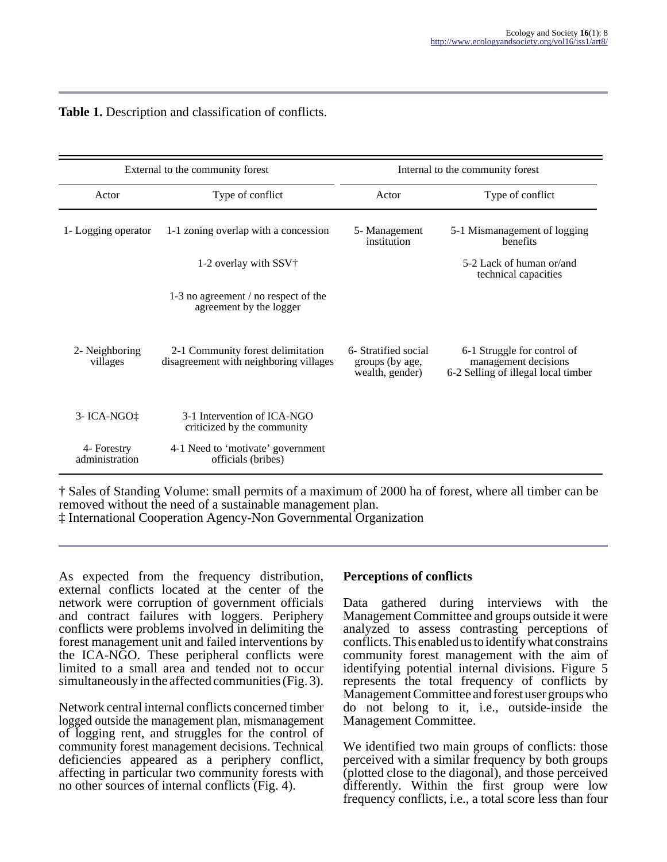| External to the community forest |                                                                             | Internal to the community forest                                                                                                                         |                                                  |  |  |
|----------------------------------|-----------------------------------------------------------------------------|----------------------------------------------------------------------------------------------------------------------------------------------------------|--------------------------------------------------|--|--|
| Actor                            | Type of conflict                                                            | Actor                                                                                                                                                    | Type of conflict                                 |  |  |
| 1- Logging operator              | 1-1 zoning overlap with a concession                                        | 5- Management<br>institution                                                                                                                             | 5-1 Mismanagement of logging<br>benefits         |  |  |
|                                  | 1-2 overlay with SSV                                                        |                                                                                                                                                          | 5-2 Lack of human or/and<br>technical capacities |  |  |
|                                  | 1-3 no agreement / no respect of the<br>agreement by the logger             |                                                                                                                                                          |                                                  |  |  |
| 2- Neighboring<br>villages       | 2-1 Community forest delimitation<br>disagreement with neighboring villages | 6- Stratified social<br>6-1 Struggle for control of<br>groups (by age,<br>management decisions<br>6-2 Selling of illegal local timber<br>wealth, gender) |                                                  |  |  |
| $3 - ICA-NGO$                    | 3-1 Intervention of ICA-NGO<br>criticized by the community                  |                                                                                                                                                          |                                                  |  |  |
| 4- Forestry<br>administration    | 4-1 Need to 'motivate' government<br>officials (bribes)                     |                                                                                                                                                          |                                                  |  |  |

#### **Table 1.** Description and classification of conflicts.

† Sales of Standing Volume: small permits of a maximum of 2000 ha of forest, where all timber can be removed without the need of a sustainable management plan.

‡ International Cooperation Agency-Non Governmental Organization

As expected from the frequency distribution, external conflicts located at the center of the network were corruption of government officials and contract failures with loggers. Periphery conflicts were problems involved in delimiting the forest management unit and failed interventions by the ICA-NGO. These peripheral conflicts were limited to a small area and tended not to occur simultaneously in the affected communities (Fig. 3).

Network central internal conflicts concerned timber logged outside the management plan, mismanagement of logging rent, and struggles for the control of community forest management decisions. Technical deficiencies appeared as a periphery conflict, affecting in particular two community forests with no other sources of internal conflicts (Fig. 4).

## **Perceptions of conflicts**

Data gathered during interviews with the Management Committee and groups outside it were analyzed to assess contrasting perceptions of conflicts. This enabled us to identify what constrains community forest management with the aim of identifying potential internal divisions. Figure 5 represents the total frequency of conflicts by Management Committee and forest user groups who do not belong to it, i.e., outside-inside the Management Committee.

We identified two main groups of conflicts: those perceived with a similar frequency by both groups (plotted close to the diagonal), and those perceived differently. Within the first group were low frequency conflicts, i.e., a total score less than four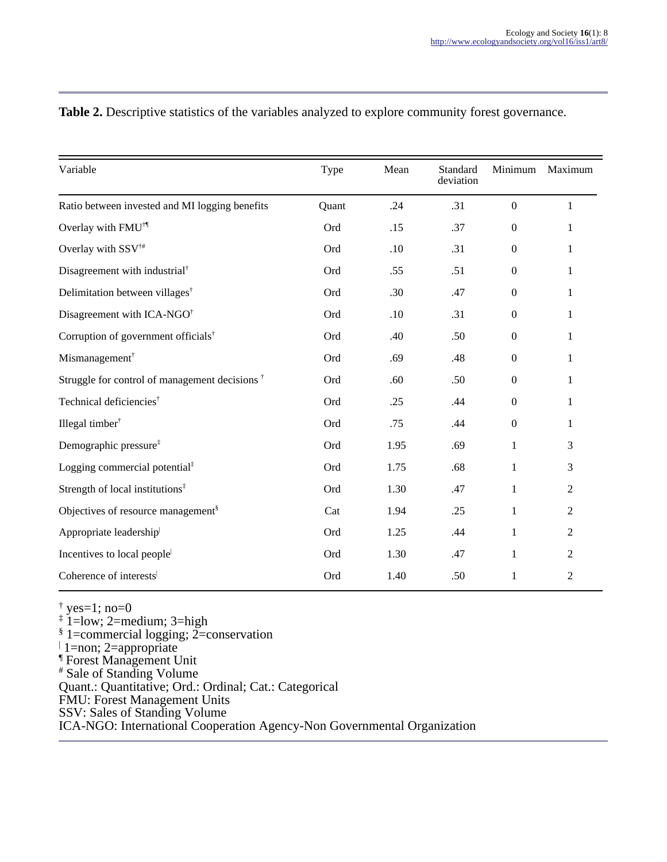| Variable                                                        | Type  | Mean | Standard<br>deviation | Minimum          | Maximum        |
|-----------------------------------------------------------------|-------|------|-----------------------|------------------|----------------|
| Ratio between invested and MI logging benefits                  | Quant | .24  | .31                   | $\boldsymbol{0}$ | $\mathbf{1}$   |
| Overlay with FMU <sup>†</sup>                                   | Ord   | .15  | .37                   | $\boldsymbol{0}$ | 1              |
| Overlay with SSV <sup>†#</sup>                                  | Ord   | .10  | .31                   | $\boldsymbol{0}$ | 1              |
| Disagreement with industrial <sup>†</sup>                       | Ord   | .55  | .51                   | $\boldsymbol{0}$ | 1              |
| Delimitation between villages <sup>†</sup>                      | Ord   | .30  | .47                   | $\boldsymbol{0}$ | 1              |
| Disagreement with ICA-NGO <sup>†</sup>                          | Ord   | .10  | .31                   | $\boldsymbol{0}$ | 1              |
| Corruption of government officials <sup>†</sup>                 | Ord   | .40  | .50                   | $\boldsymbol{0}$ | 1              |
| Mismanagement <sup>†</sup>                                      | Ord   | .69  | .48                   | $\boldsymbol{0}$ | 1              |
| Struggle for control of management decisions <sup>†</sup>       | Ord   | .60  | .50                   | $\boldsymbol{0}$ | 1              |
| Technical deficiencies <sup>†</sup>                             | Ord   | .25  | .44                   | $\Omega$         | 1              |
| Illegal timber <sup>†</sup>                                     | Ord   | .75  | .44                   | $\boldsymbol{0}$ | 1              |
| Demographic pressure <sup>‡</sup>                               | Ord   | 1.95 | .69                   | 1                | 3              |
| Logging commercial potential $\ddagger$                         | Ord   | 1.75 | .68                   | $\mathbf{1}$     | 3              |
| Strength of local institutions <sup><math>\ddagger</math></sup> | Ord   | 1.30 | .47                   | 1                | $\overline{c}$ |
| Objectives of resource management <sup>§</sup>                  | Cat   | 1.94 | .25                   | 1                | $\overline{2}$ |
| Appropriate leadership                                          | Ord   | 1.25 | .44                   | 1                | 2              |
| Incentives to local people                                      | Ord   | 1.30 | .47                   | 1                | $\overline{c}$ |
| Coherence of interests                                          | Ord   | 1.40 | .50                   | $\mathbf{1}$     | $\overline{2}$ |

# **Table 2.** Descriptive statistics of the variables analyzed to explore community forest governance.

† yes=1; no=0 ‡ 1=low; 2=medium; 3=high § 1=commercial logging; 2=conservation

|

<sup>|</sup> 1=non; 2=appropriate<br>¶ Forest Management Unit<br># Sale of Standing Volume

Quant.: Quantitative; Ord.: Ordinal; Cat.: Categorical

FMU: Forest Management Units

SSV: Sales of Standing Volume

ICA-NGO: International Cooperation Agency-Non Governmental Organization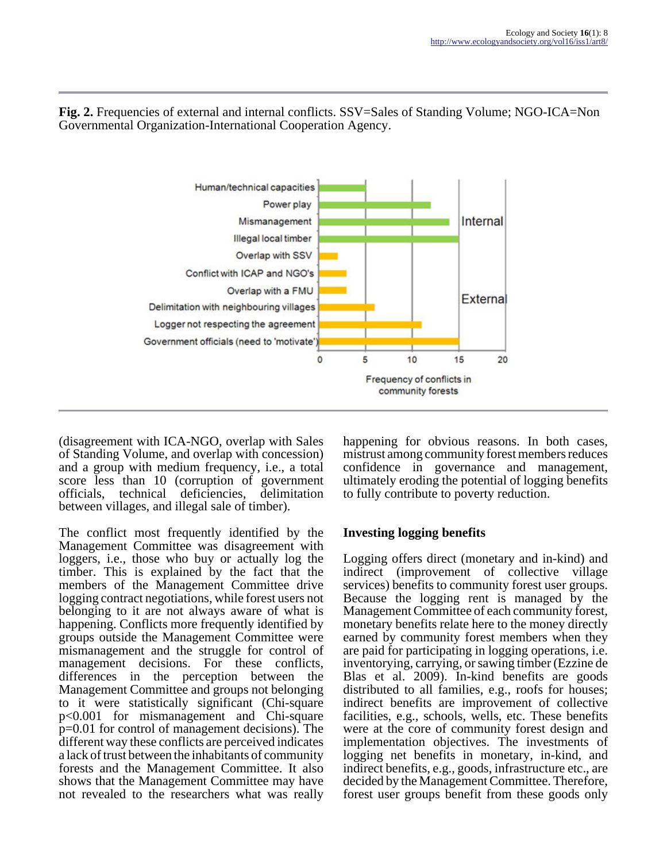

**Fig. 2.** Frequencies of external and internal conflicts. SSV=Sales of Standing Volume; NGO-ICA=Non Governmental Organization-International Cooperation Agency.

(disagreement with ICA-NGO, overlap with Sales of Standing Volume, and overlap with concession) and a group with medium frequency, i.e., a total score less than 10 (corruption of government officials, technical deficiencies, delimitation between villages, and illegal sale of timber).

The conflict most frequently identified by the Management Committee was disagreement with loggers, i.e., those who buy or actually log the timber. This is explained by the fact that the members of the Management Committee drive logging contract negotiations, while forest users not belonging to it are not always aware of what is happening. Conflicts more frequently identified by groups outside the Management Committee were mismanagement and the struggle for control of management decisions. For these conflicts, differences in the perception between the Management Committee and groups not belonging to it were statistically significant (Chi-square p<0.001 for mismanagement and Chi-square p=0.01 for control of management decisions). The different way these conflicts are perceived indicates a lack of trust between the inhabitants of community forests and the Management Committee. It also shows that the Management Committee may have not revealed to the researchers what was really

happening for obvious reasons. In both cases, mistrust among community forest members reduces confidence in governance and management, ultimately eroding the potential of logging benefits to fully contribute to poverty reduction.

# **Investing logging benefits**

Logging offers direct (monetary and in-kind) and indirect (improvement of collective village services) benefits to community forest user groups. Because the logging rent is managed by the Management Committee of each community forest, monetary benefits relate here to the money directly earned by community forest members when they are paid for participating in logging operations, i.e. inventorying, carrying, or sawing timber (Ezzine de Blas et al. 2009). In-kind benefits are goods distributed to all families, e.g., roofs for houses; indirect benefits are improvement of collective facilities, e.g., schools, wells, etc. These benefits were at the core of community forest design and implementation objectives. The investments of logging net benefits in monetary, in-kind, and indirect benefits, e.g., goods, infrastructure etc., are decided by the Management Committee. Therefore, forest user groups benefit from these goods only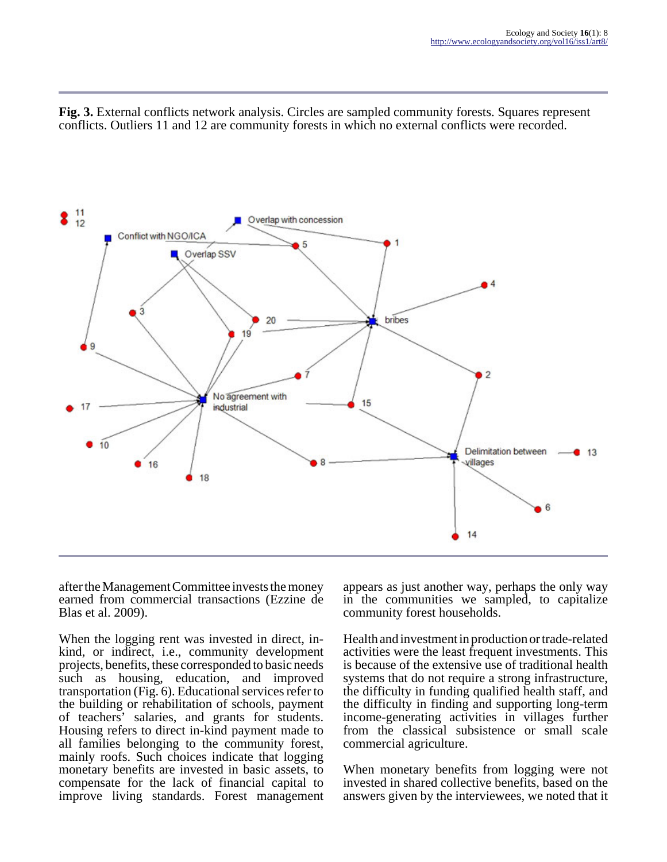**Fig. 3.** External conflicts network analysis. Circles are sampled community forests. Squares represent conflicts. Outliers 11 and 12 are community forests in which no external conflicts were recorded.



after the Management Committee invests the money earned from commercial transactions (Ezzine de Blas et al. 2009).

When the logging rent was invested in direct, inkind, or indirect, i.e., community development projects, benefits, these corresponded to basic needs such as housing, education, and improved transportation (Fig. 6). Educational services refer to the building or rehabilitation of schools, payment of teachers' salaries, and grants for students. Housing refers to direct in-kind payment made to all families belonging to the community forest, mainly roofs. Such choices indicate that logging monetary benefits are invested in basic assets, to compensate for the lack of financial capital to improve living standards. Forest management

appears as just another way, perhaps the only way in the communities we sampled, to capitalize community forest households.

Health and investment in production or trade-related activities were the least frequent investments. This is because of the extensive use of traditional health systems that do not require a strong infrastructure, the difficulty in funding qualified health staff, and the difficulty in finding and supporting long-term income-generating activities in villages further from the classical subsistence or small scale commercial agriculture.

When monetary benefits from logging were not invested in shared collective benefits, based on the answers given by the interviewees, we noted that it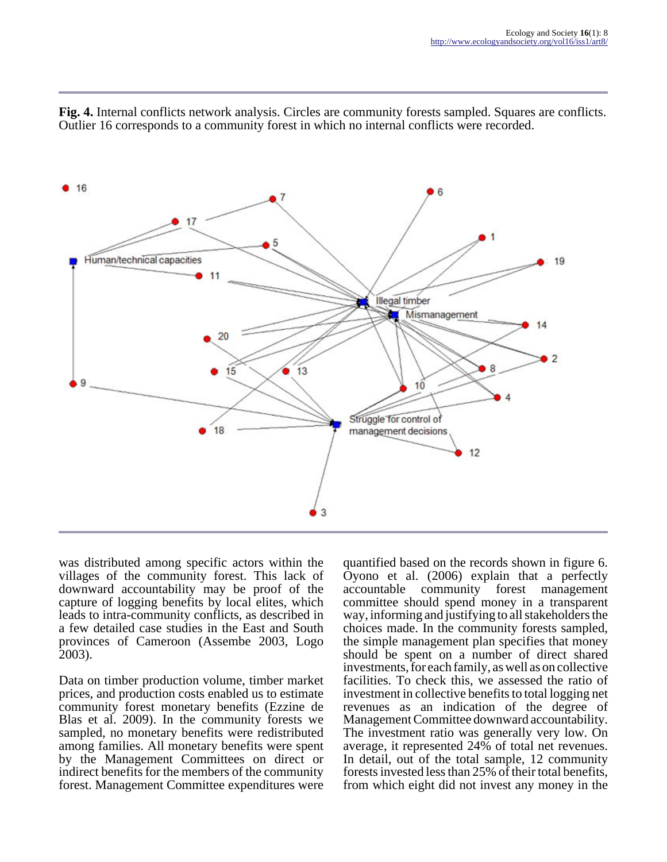

**Fig. 4.** Internal conflicts network analysis. Circles are community forests sampled. Squares are conflicts. Outlier 16 corresponds to a community forest in which no internal conflicts were recorded.

was distributed among specific actors within the villages of the community forest. This lack of downward accountability may be proof of the capture of logging benefits by local elites, which leads to intra-community conflicts, as described in a few detailed case studies in the East and South provinces of Cameroon (Assembe 2003, Logo 2003).

Data on timber production volume, timber market prices, and production costs enabled us to estimate community forest monetary benefits (Ezzine de Blas et al. 2009). In the community forests we sampled, no monetary benefits were redistributed among families. All monetary benefits were spent by the Management Committees on direct or indirect benefits for the members of the community forest. Management Committee expenditures were quantified based on the records shown in figure 6. Oyono et al. (2006) explain that a perfectly accountable community forest management committee should spend money in a transparent way, informing and justifying to all stakeholders the choices made. In the community forests sampled, the simple management plan specifies that money should be spent on a number of direct shared investments, for each family, as well as on collective facilities. To check this, we assessed the ratio of investment in collective benefits to total logging net revenues as an indication of the degree of Management Committee downward accountability. The investment ratio was generally very low. On average, it represented 24% of total net revenues. In detail, out of the total sample, 12 community forests invested less than 25% of their total benefits, from which eight did not invest any money in the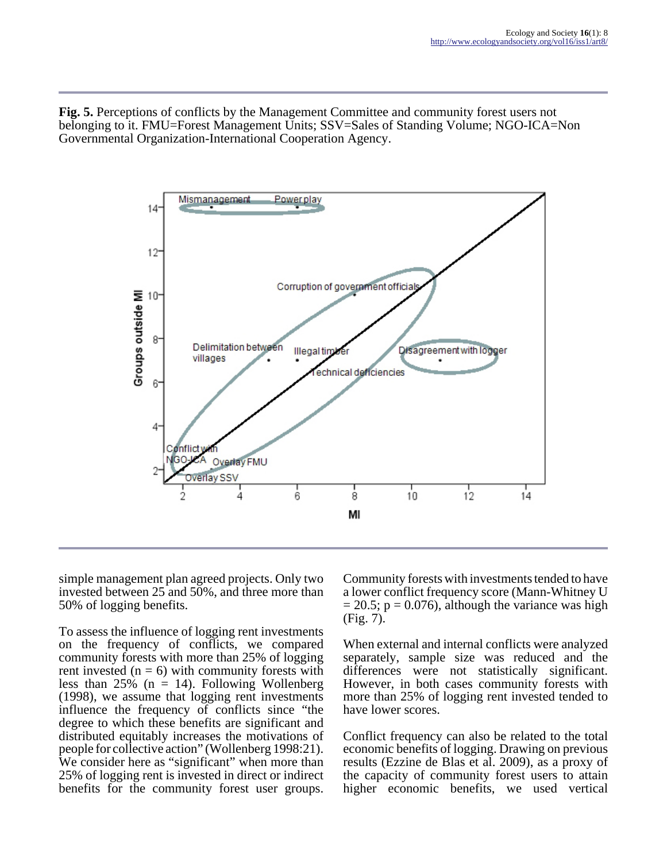**Fig. 5.** Perceptions of conflicts by the Management Committee and community forest users not belonging to it. FMU=Forest Management Units; SSV=Sales of Standing Volume; NGO-ICA=Non Governmental Organization-International Cooperation Agency.



simple management plan agreed projects. Only two invested between 25 and 50%, and three more than 50% of logging benefits.

To assess the influence of logging rent investments on the frequency of conflicts, we compared community forests with more than 25% of logging rent invested  $(n = 6)$  with community forests with less than  $25\%$  (n = 14). Following Wollenberg (1998), we assume that logging rent investments influence the frequency of conflicts since "the degree to which these benefits are significant and distributed equitably increases the motivations of people for collective action" (Wollenberg 1998:21). We consider here as "significant" when more than 25% of logging rent is invested in direct or indirect benefits for the community forest user groups.

Community forests with investments tended to have a lower conflict frequency score (Mann-Whitney U  $= 20.5$ ; p = 0.076), although the variance was high (Fig. 7).

When external and internal conflicts were analyzed separately, sample size was reduced and the differences were not statistically significant. However, in both cases community forests with more than 25% of logging rent invested tended to have lower scores.

Conflict frequency can also be related to the total economic benefits of logging. Drawing on previous results (Ezzine de Blas et al. 2009), as a proxy of the capacity of community forest users to attain higher economic benefits, we used vertical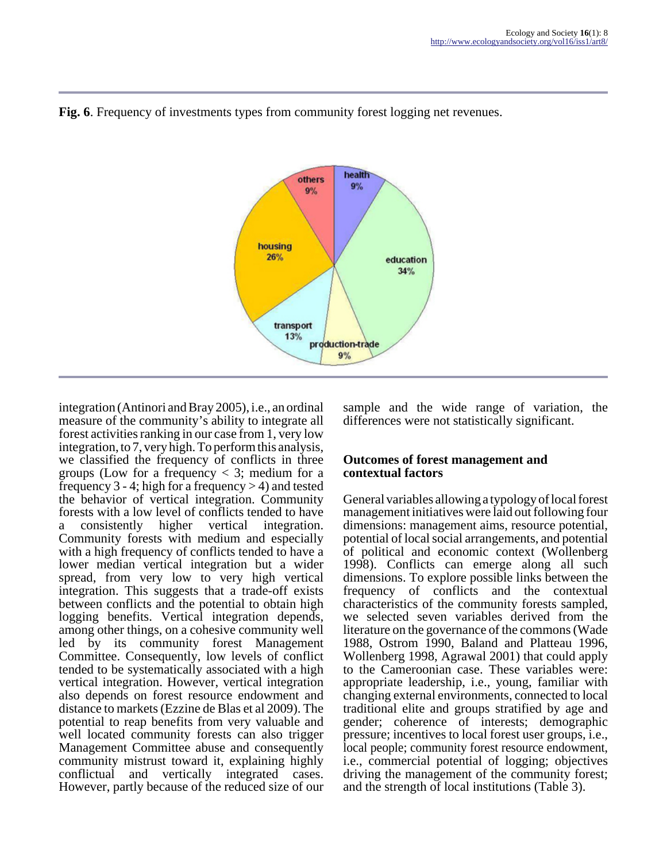

**Fig. 6**. Frequency of investments types from community forest logging net revenues.

integration (Antinori and Bray 2005), i.e., an ordinal measure of the community's ability to integrate all forest activities ranking in our case from 1, very low integration, to 7, very high. To perform this analysis, we classified the frequency of conflicts in three groups (Low for a frequency  $\lt$  3; medium for a frequency 3 - 4; high for a frequency  $> 4$ ) and tested the behavior of vertical integration. Community forests with a low level of conflicts tended to have consistently higher vertical integration. Community forests with medium and especially with a high frequency of conflicts tended to have a lower median vertical integration but a wider spread, from very low to very high vertical integration. This suggests that a trade-off exists between conflicts and the potential to obtain high logging benefits. Vertical integration depends, among other things, on a cohesive community well led by its community forest Management Committee. Consequently, low levels of conflict tended to be systematically associated with a high vertical integration. However, vertical integration also depends on forest resource endowment and distance to markets (Ezzine de Blas et al 2009). The potential to reap benefits from very valuable and well located community forests can also trigger Management Committee abuse and consequently community mistrust toward it, explaining highly conflictual and vertically integrated cases. However, partly because of the reduced size of our

sample and the wide range of variation, the differences were not statistically significant.

## **Outcomes of forest management and contextual factors**

General variables allowing a typology of local forest management initiatives were laid out following four dimensions: management aims, resource potential, potential of local social arrangements, and potential of political and economic context (Wollenberg 1998). Conflicts can emerge along all such dimensions. To explore possible links between the frequency of conflicts and the contextual characteristics of the community forests sampled, we selected seven variables derived from the literature on the governance of the commons (Wade 1988, Ostrom 1990, Baland and Platteau 1996, Wollenberg 1998, Agrawal 2001) that could apply to the Cameroonian case. These variables were: appropriate leadership, i.e., young, familiar with changing external environments, connected to local traditional elite and groups stratified by age and gender; coherence of interests; demographic pressure; incentives to local forest user groups, i.e., local people; community forest resource endowment, i.e., commercial potential of logging; objectives driving the management of the community forest; and the strength of local institutions (Table 3).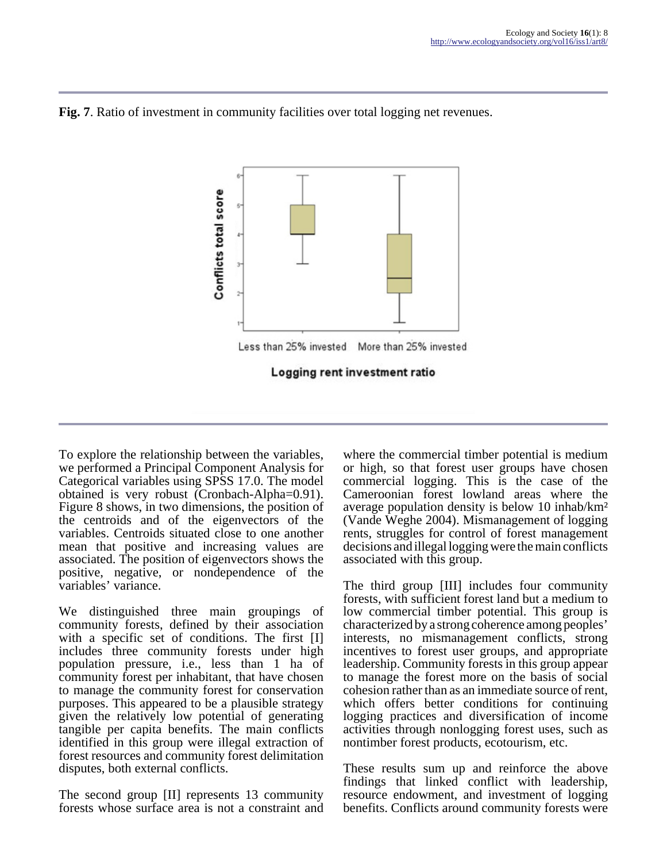



To explore the relationship between the variables, we performed a Principal Component Analysis for Categorical variables using SPSS 17.0. The model obtained is very robust (Cronbach-Alpha=0.91). Figure 8 shows, in two dimensions, the position of the centroids and of the eigenvectors of the variables. Centroids situated close to one another mean that positive and increasing values are associated. The position of eigenvectors shows the positive, negative, or nondependence of the variables' variance.

We distinguished three main groupings of community forests, defined by their association with a specific set of conditions. The first [I] includes three community forests under high population pressure, i.e., less than 1 ha of community forest per inhabitant, that have chosen to manage the community forest for conservation purposes. This appeared to be a plausible strategy given the relatively low potential of generating tangible per capita benefits. The main conflicts identified in this group were illegal extraction of forest resources and community forest delimitation disputes, both external conflicts.

The second group [II] represents 13 community forests whose surface area is not a constraint and where the commercial timber potential is medium or high, so that forest user groups have chosen commercial logging. This is the case of the Cameroonian forest lowland areas where the average population density is below 10 inhab/km² (Vande Weghe 2004). Mismanagement of logging rents, struggles for control of forest management decisions and illegal logging were the main conflicts associated with this group.

The third group [III] includes four community forests, with sufficient forest land but a medium to low commercial timber potential. This group is characterized by a strong coherence among peoples' interests, no mismanagement conflicts, strong incentives to forest user groups, and appropriate leadership. Community forests in this group appear to manage the forest more on the basis of social cohesion rather than as an immediate source of rent, which offers better conditions for continuing logging practices and diversification of income activities through nonlogging forest uses, such as nontimber forest products, ecotourism, etc.

These results sum up and reinforce the above findings that linked conflict with leadership, resource endowment, and investment of logging benefits. Conflicts around community forests were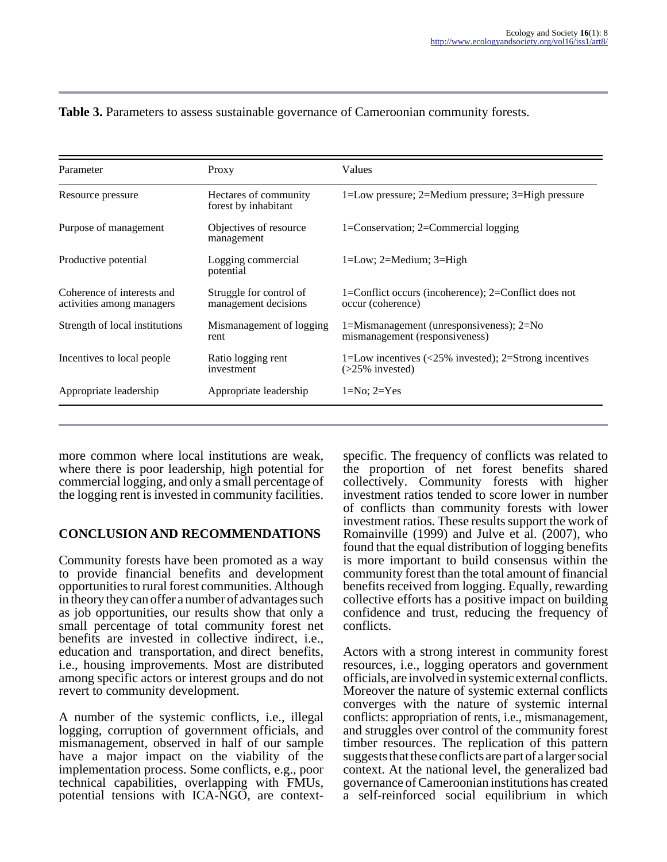| Parameter                                               | Proxy                                           | Values                                                                                                      |  |
|---------------------------------------------------------|-------------------------------------------------|-------------------------------------------------------------------------------------------------------------|--|
| Resource pressure                                       | Hectares of community<br>forest by inhabitant   | 1=Low pressure; $2=$ Medium pressure; $3=$ High pressure                                                    |  |
| Purpose of management                                   | Objectives of resource<br>management            | 1=Conservation; 2=Commercial logging                                                                        |  |
| Productive potential                                    | Logging commercial<br>potential                 | $1 = Low$ ; $2 = Medium$ ; $3 = High$                                                                       |  |
| Coherence of interests and<br>activities among managers | Struggle for control of<br>management decisions | 1=Conflict occurs (incoherence); 2=Conflict does not<br>occur (coherence)                                   |  |
| Strength of local institutions                          | Mismanagement of logging<br>rent                | 1=Mismanagement (unresponsiveness); $2=N_0$<br>mismanagement (responsiveness)                               |  |
| Incentives to local people.                             | Ratio logging rent<br>investment                | 1=Low incentives $\left( \langle 25\% \rangle \right)$ invested); 2=Strong incentives<br>$($ >25% invested) |  |
| Appropriate leadership                                  | Appropriate leadership                          | $1=No; 2=Yes$                                                                                               |  |

#### **Table 3.** Parameters to assess sustainable governance of Cameroonian community forests.

more common where local institutions are weak, where there is poor leadership, high potential for commercial logging, and only a small percentage of the logging rent is invested in community facilities.

#### **CONCLUSION AND RECOMMENDATIONS**

Community forests have been promoted as a way to provide financial benefits and development opportunities to rural forest communities. Although in theory they can offer a number of advantages such as job opportunities, our results show that only a small percentage of total community forest net benefits are invested in collective indirect, i.e., education and transportation, and direct benefits, i.e., housing improvements. Most are distributed among specific actors or interest groups and do not revert to community development.

A number of the systemic conflicts, i.e., illegal logging, corruption of government officials, and mismanagement, observed in half of our sample have a major impact on the viability of the implementation process. Some conflicts, e.g., poor technical capabilities, overlapping with FMUs, potential tensions with ICA-NGO, are contextspecific. The frequency of conflicts was related to the proportion of net forest benefits shared collectively. Community forests with higher investment ratios tended to score lower in number of conflicts than community forests with lower investment ratios. These results support the work of Romainville (1999) and Julve et al. (2007), who found that the equal distribution of logging benefits is more important to build consensus within the community forest than the total amount of financial benefits received from logging. Equally, rewarding collective efforts has a positive impact on building confidence and trust, reducing the frequency of conflicts.

Actors with a strong interest in community forest resources, i.e., logging operators and government officials, are involved in systemic external conflicts. Moreover the nature of systemic external conflicts converges with the nature of systemic internal conflicts: appropriation of rents, i.e., mismanagement, and struggles over control of the community forest timber resources. The replication of this pattern suggests that these conflicts are part of a larger social context. At the national level, the generalized bad governance of Cameroonian institutions has created a self-reinforced social equilibrium in which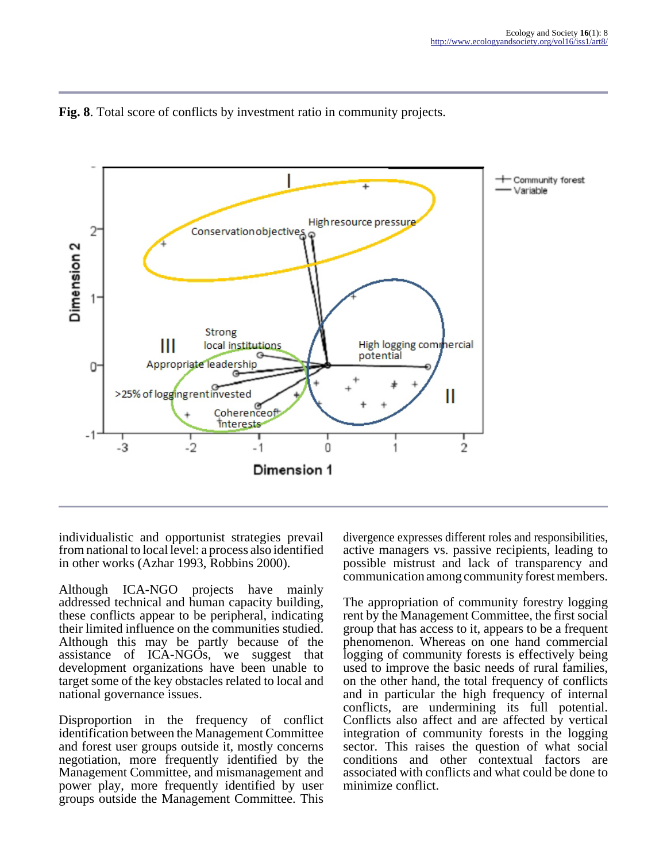



individualistic and opportunist strategies prevail from national to local level: a process also identified in other works (Azhar 1993, Robbins 2000).

Although ICA-NGO projects have mainly addressed technical and human capacity building, these conflicts appear to be peripheral, indicating their limited influence on the communities studied. Although this may be partly because of the assistance of ICA-NGOs, we suggest that development organizations have been unable to target some of the key obstacles related to local and national governance issues.

Disproportion in the frequency of conflict identification between the Management Committee and forest user groups outside it, mostly concerns negotiation, more frequently identified by the Management Committee, and mismanagement and power play, more frequently identified by user groups outside the Management Committee. This

divergence expresses different roles and responsibilities, active managers vs. passive recipients, leading to possible mistrust and lack of transparency and communication among community forest members.

The appropriation of community forestry logging rent by the Management Committee, the first social group that has access to it, appears to be a frequent phenomenon. Whereas on one hand commercial logging of community forests is effectively being used to improve the basic needs of rural families, on the other hand, the total frequency of conflicts and in particular the high frequency of internal conflicts, are undermining its full potential. Conflicts also affect and are affected by vertical integration of community forests in the logging sector. This raises the question of what social conditions and other contextual factors are associated with conflicts and what could be done to minimize conflict.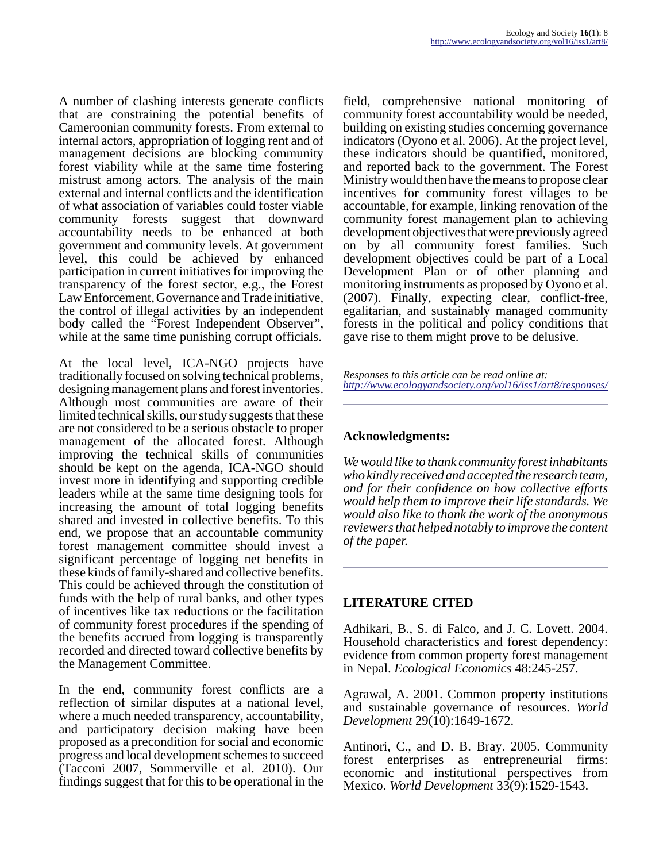A number of clashing interests generate conflicts that are constraining the potential benefits of Cameroonian community forests. From external to internal actors, appropriation of logging rent and of management decisions are blocking community forest viability while at the same time fostering mistrust among actors. The analysis of the main external and internal conflicts and the identification of what association of variables could foster viable community forests suggest that downward accountability needs to be enhanced at both government and community levels. At government level, this could be achieved by enhanced participation in current initiatives for improving the transparency of the forest sector, e.g., the Forest Law Enforcement, Governance and Trade initiative, the control of illegal activities by an independent body called the "Forest Independent Observer", while at the same time punishing corrupt officials.

At the local level, ICA-NGO projects have traditionally focused on solving technical problems, designing management plans and forest inventories. Although most communities are aware of their limited technical skills, our study suggests that these are not considered to be a serious obstacle to proper management of the allocated forest. Although improving the technical skills of communities should be kept on the agenda, ICA-NGO should invest more in identifying and supporting credible leaders while at the same time designing tools for increasing the amount of total logging benefits shared and invested in collective benefits. To this end, we propose that an accountable community forest management committee should invest a significant percentage of logging net benefits in these kinds of family-shared and collective benefits. This could be achieved through the constitution of funds with the help of rural banks, and other types of incentives like tax reductions or the facilitation of community forest procedures if the spending of the benefits accrued from logging is transparently recorded and directed toward collective benefits by the Management Committee.

In the end, community forest conflicts are a reflection of similar disputes at a national level, where a much needed transparency, accountability, and participatory decision making have been proposed as a precondition for social and economic progress and local development schemes to succeed (Tacconi 2007, Sommerville et al. 2010). Our findings suggest that for this to be operational in the

field, comprehensive national monitoring of community forest accountability would be needed, building on existing studies concerning governance indicators (Oyono et al. 2006). At the project level, these indicators should be quantified, monitored, and reported back to the government. The Forest Ministry would then have the means to propose clear incentives for community forest villages to be accountable, for example, linking renovation of the community forest management plan to achieving development objectives that were previously agreed on by all community forest families. Such development objectives could be part of a Local Development Plan or of other planning and monitoring instruments as proposed by Oyono et al. (2007). Finally, expecting clear, conflict-free, egalitarian, and sustainably managed community forests in the political and policy conditions that gave rise to them might prove to be delusive.

*Responses to this article can be read online at: <http://www.ecologyandsociety.org/vol16/iss1/art8/responses/>*

# **Acknowledgments:**

*We would like to thank community forest inhabitants who kindly received and accepted the research team, and for their confidence on how collective efforts would help them to improve their life standards. We would also like to thank the work of the anonymous reviewers that helped notably to improve the content of the paper.*

## **LITERATURE CITED**

Adhikari, B., S. di Falco, and J. C. Lovett. 2004. Household characteristics and forest dependency: evidence from common property forest management in Nepal. *Ecological Economics* 48:245-257.

Agrawal, A. 2001. Common property institutions and sustainable governance of resources. *World Development* 29(10):1649-1672.

Antinori, C., and D. B. Bray. 2005. Community forest enterprises as entrepreneurial firms: economic and institutional perspectives from Mexico. *World Development* 33(9):1529-1543.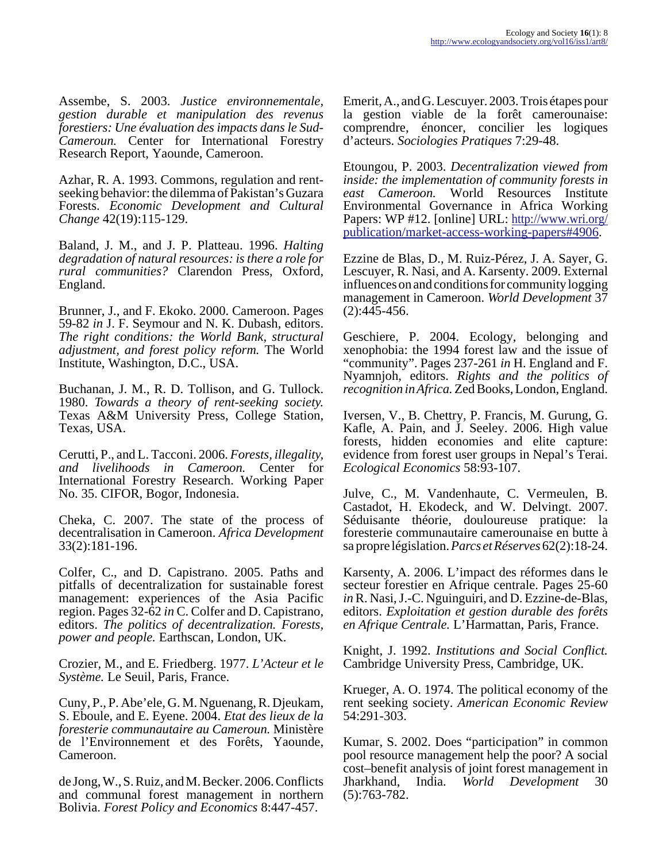Assembe, S. 2003. *Justice environnementale, gestion durable et manipulation des revenus forestiers: Une évaluation des impacts dans le Sud-Cameroun.* Center for International Forestry Research Report, Yaounde, Cameroon.

Azhar, R. A. 1993. Commons, regulation and rentseeking behavior: the dilemma of Pakistan's Guzara Forests. *Economic Development and Cultural Change* 42(19):115-129.

Baland, J. M., and J. P. Platteau. 1996. *Halting degradation of natural resources: is there a role for rural communities?* Clarendon Press, Oxford, England.

Brunner, J., and F. Ekoko. 2000. Cameroon. Pages 59-82 *in* J. F. Seymour and N. K. Dubash, editors. *The right conditions: the World Bank, structural adjustment, and forest policy reform.* The World Institute, Washington, D.C., USA.

Buchanan, J. M., R. D. Tollison, and G. Tullock. 1980. *Towards a theory of rent-seeking society.* Texas A&M University Press, College Station, Texas, USA.

Cerutti, P., and L. Tacconi. 2006. *Forests, illegality, and livelihoods in Cameroon.* Center for International Forestry Research. Working Paper No. 35. CIFOR, Bogor, Indonesia.

Cheka, C. 2007. The state of the process of decentralisation in Cameroon. *Africa Development* 33(2):181-196.

Colfer, C., and D. Capistrano. 2005. Paths and pitfalls of decentralization for sustainable forest management: experiences of the Asia Pacific region. Pages 32-62 *in* C. Colfer and D. Capistrano, editors. *The politics of decentralization. Forests, power and people.* Earthscan, London, UK.

Crozier, M., and E. Friedberg. 1977. *L'Acteur et le Système.* Le Seuil, Paris, France.

Cuny, P., P. Abe'ele, G. M. Nguenang, R. Djeukam, S. Eboule, and E. Eyene. 2004. *Etat des lieux de la foresterie communautaire au Cameroun.* Ministère de l'Environnement et des Forêts, Yaounde, Cameroon.

de Jong, W., S. Ruiz, and M. Becker. 2006. Conflicts and communal forest management in northern Bolivia. *Forest Policy and Economics* 8:447-457.

Emerit, A., and G. Lescuyer. 2003. Trois étapes pour la gestion viable de la forêt camerounaise: comprendre, énoncer, concilier les logiques d'acteurs. *Sociologies Pratiques* 7:29-48.

Etoungou, P. 2003. *Decentralization viewed from inside: the implementation of community forests in east Cameroon.* World Resources Institute Environmental Governance in Africa Working Papers: WP #12. [online] URL: [http://www.wri.org/](http://www.wri.org/publication/market-access-working-papers#4906) [publication/market-access-working-papers#4906.](http://www.wri.org/publication/market-access-working-papers#4906)

Ezzine de Blas, D., M. Ruiz-Pérez, J. A. Sayer, G. Lescuyer, R. Nasi, and A. Karsenty. 2009. External influences on and conditions for community logging management in Cameroon. *World Development* 37 (2):445-456.

Geschiere, P. 2004. Ecology, belonging and xenophobia: the 1994 forest law and the issue of "community". Pages 237-261 *in* H. England and F. Nyamnjoh, editors. *Rights and the politics of recognition in Africa.* Zed Books, London, England.

Iversen, V., B. Chettry, P. Francis, M. Gurung, G. Kafle, A. Pain, and J. Seeley. 2006. High value forests, hidden economies and elite capture: evidence from forest user groups in Nepal's Terai. *Ecological Economics* 58:93-107.

Julve, C., M. Vandenhaute, C. Vermeulen, B. Castadot, H. Ekodeck, and W. Delvingt. 2007. Séduisante théorie, douloureuse pratique: la foresterie communautaire camerounaise en butte à sa propre législation. *Parcs et Réserves* 62(2):18-24.

Karsenty, A. 2006. L'impact des réformes dans le secteur forestier en Afrique centrale. Pages 25-60 *in* R. Nasi, J.-C. Nguinguiri, and D. Ezzine-de-Blas, editors. *Exploitation et gestion durable des forêts en Afrique Centrale.* L'Harmattan, Paris, France.

Knight, J. 1992. *Institutions and Social Conflict.* Cambridge University Press, Cambridge, UK.

Krueger, A. O. 1974. The political economy of the rent seeking society. *American Economic Review* 54:291-303.

Kumar, S. 2002. Does "participation" in common pool resource management help the poor? A social cost–benefit analysis of joint forest management in Jharkhand, India. *World Development* 30 (5):763-782.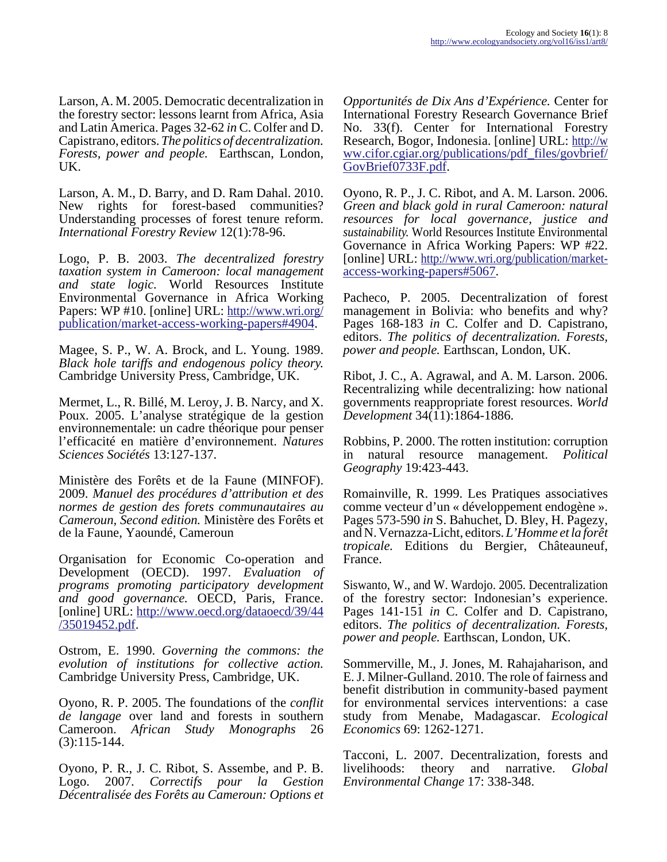Larson, A. M. 2005. Democratic decentralization in the forestry sector: lessons learnt from Africa, Asia and Latin America. Pages 32-62 *in* C. Colfer and D. Capistrano, editors. *The politics of decentralization. Forests, power and people.* Earthscan, London, UK.

Larson, A. M., D. Barry, and D. Ram Dahal. 2010. New rights for forest-based communities? Understanding processes of forest tenure reform. *International Forestry Review* 12(1):78-96.

Logo, P. B. 2003. *The decentralized forestry taxation system in Cameroon: local management and state logic.* World Resources Institute Environmental Governance in Africa Working Papers: WP #10. [online] URL: [http://www.wri.org/](http://www.wri.org/publication/market-access-working-papers#4904) [publication/market-access-working-papers#4904.](http://www.wri.org/publication/market-access-working-papers#4904)

Magee, S. P., W. A. Brock, and L. Young. 1989. *Black hole tariffs and endogenous policy theory.* Cambridge University Press, Cambridge, UK.

Mermet, L., R. Billé, M. Leroy, J. B. Narcy, and X. Poux. 2005. L'analyse stratégique de la gestion environnementale: un cadre théorique pour penser l'efficacité en matière d'environnement. *Natures Sciences Sociétés* 13:127-137.

Ministère des Forêts et de la Faune (MINFOF). 2009. *Manuel des procédures d'attribution et des normes de gestion des forets communautaires au Cameroun, Second edition.* Ministère des Forêts et de la Faune, Yaoundé, Cameroun

Organisation for Economic Co-operation and Development (OECD). 1997. *Evaluation of programs promoting participatory development and good governance.* OECD, Paris, France. [online] URL: [http://www.oecd.org/dataoecd/39/44](http://www.oecd.org/dataoecd/39/44/35019452.pdf) [/35019452.pdf](http://www.oecd.org/dataoecd/39/44/35019452.pdf).

Ostrom, E. 1990. *Governing the commons: the evolution of institutions for collective action.* Cambridge University Press, Cambridge, UK.

Oyono, R. P. 2005. The foundations of the *conflit de langage* over land and forests in southern Cameroon. *African Study Monographs* 26 (3):115-144.

Oyono, P. R., J. C. Ribot, S. Assembe, and P. B. Logo. 2007. *Correctifs pour la Gestion Décentralisée des Forêts au Cameroun: Options et*

*Opportunités de Dix Ans d'Expérience.* Center for International Forestry Research Governance Brief No. 33(f). Center for International Forestry Research, Bogor, Indonesia. [online] URL: [http://w](http://www.cifor.cgiar.org/publications/pdf_files/govbrief/GovBrief0733F.pdf) ww.cifor.cgiar.org/publications/pdf\_files/govbrief/ [GovBrief0733F.pdf.](http://www.cifor.cgiar.org/publications/pdf_files/govbrief/GovBrief0733F.pdf)

Oyono, R. P., J. C. Ribot, and A. M. Larson. 2006. *Green and black gold in rural Cameroon: natural resources for local governance, justice and sustainability.* World Resources Institute Environmental Governance in Africa Working Papers: WP #22. [online] URL: [http://www.wri.org/publication/market](http://www.wri.org/publication/market-access-working-papers#5067)[access-working-papers#5067.](http://www.wri.org/publication/market-access-working-papers#5067)

Pacheco, P. 2005. Decentralization of forest management in Bolivia: who benefits and why? Pages 168-183 *in* C. Colfer and D. Capistrano, editors. *The politics of decentralization. Forests, power and people.* Earthscan, London, UK.

Ribot, J. C., A. Agrawal, and A. M. Larson. 2006. Recentralizing while decentralizing: how national governments reappropriate forest resources. *World Development* 34(11):1864-1886.

Robbins, P. 2000. The rotten institution: corruption in natural resource management. *Political Geography* 19:423-443.

Romainville, R. 1999. Les Pratiques associatives comme vecteur d'un « développement endogène ». Pages 573-590 *in* S. Bahuchet, D. Bley, H. Pagezy, and N. Vernazza-Licht, editors. *L'Homme et la forêt tropicale.* Editions du Bergier, Châteauneuf, France.

Siswanto, W., and W. Wardojo. 2005. Decentralization of the forestry sector: Indonesian's experience. Pages 141-151 *in* C. Colfer and D. Capistrano, editors. *The politics of decentralization. Forests, power and people.* Earthscan, London, UK.

Sommerville, M., J. Jones, M. Rahajaharison, and E. J. Milner-Gulland. 2010. The role of fairness and benefit distribution in community-based payment for environmental services interventions: a case study from Menabe, Madagascar. *Ecological Economics* 69: 1262-1271.

Tacconi, L. 2007. Decentralization, forests and livelihoods: theory and narrative. *Global Environmental Change* 17: 338-348.